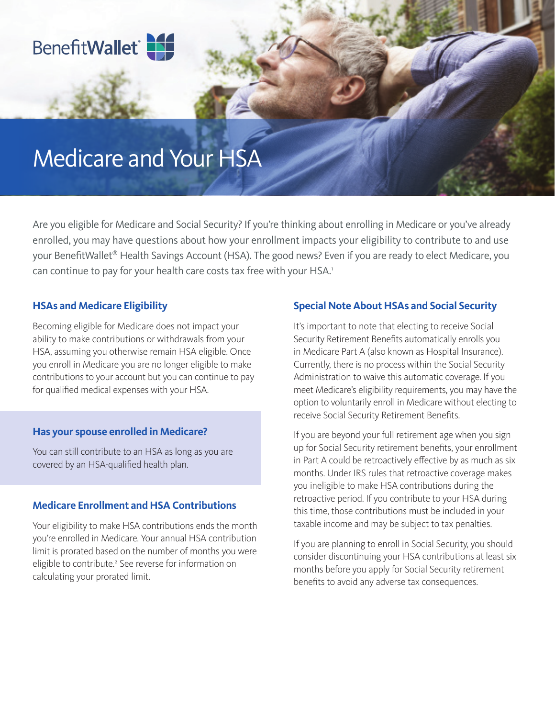

# Medicare and Your HSA

Are you eligible for Medicare and Social Security? If you're thinking about enrolling in Medicare or you've already enrolled, you may have questions about how your enrollment impacts your eligibility to contribute to and use your BenefitWallet® Health Savings Account (HSA). The good news? Even if you are ready to elect Medicare, you can continue to pay for your health care costs tax free with your HSA.<sup>1</sup>

# **HSAs and Medicare Eligibility**

Becoming eligible for Medicare does not impact your ability to make contributions or withdrawals from your HSA, assuming you otherwise remain HSA eligible. Once you enroll in Medicare you are no longer eligible to make contributions to your account but you can continue to pay for qualified medical expenses with your HSA.

#### **Has your spouse enrolled in Medicare?**

You can still contribute to an HSA as long as you are covered by an HSA-qualified health plan.

## **Medicare Enrollment and HSA Contributions**

Your eligibility to make HSA contributions ends the month you're enrolled in Medicare. Your annual HSA contribution limit is prorated based on the number of months you were eligible to contribute.<sup>2</sup> See reverse for information on calculating your prorated limit.

#### **Special Note About HSAs and Social Security**

It's important to note that electing to receive Social Security Retirement Benefits automatically enrolls you in Medicare Part A (also known as Hospital Insurance). Currently, there is no process within the Social Security Administration to waive this automatic coverage. If you meet Medicare's eligibility requirements, you may have the option to voluntarily enroll in Medicare without electing to receive Social Security Retirement Benefits.

If you are beyond your full retirement age when you sign up for Social Security retirement benefits, your enrollment in Part A could be retroactively effective by as much as six months. Under IRS rules that retroactive coverage makes you ineligible to make HSA contributions during the retroactive period. If you contribute to your HSA during this time, those contributions must be included in your taxable income and may be subject to tax penalties.

If you are planning to enroll in Social Security, you should consider discontinuing your HSA contributions at least six months before you apply for Social Security retirement benefits to avoid any adverse tax consequences.